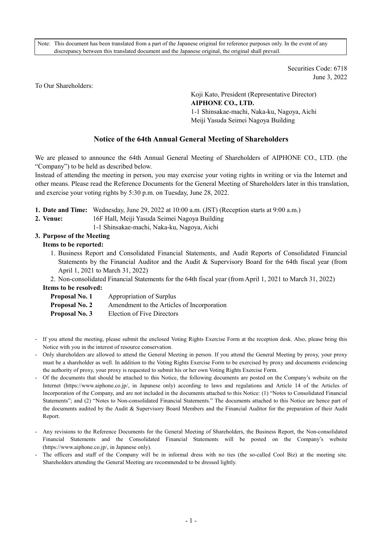Note: This document has been translated from a part of the Japanese original for reference purposes only. In the event of any discrepancy between this translated document and the Japanese original, the original shall prevail.

> Securities Code: 6718 June 3, 2022

To Our Shareholders:

Koji Kato, President (Representative Director) **AIPHONE CO., LTD.**  1-1 Shinsakae-machi, Naka-ku, Nagoya, Aichi Meiji Yasuda Seimei Nagoya Building

# **Notice of the 64th Annual General Meeting of Shareholders**

We are pleased to announce the 64th Annual General Meeting of Shareholders of AIPHONE CO., LTD. (the "Company") to be held as described below.

Instead of attending the meeting in person, you may exercise your voting rights in writing or via the Internet and other means. Please read the Reference Documents for the General Meeting of Shareholders later in this translation, and exercise your voting rights by 5:30 p.m. on Tuesday, June 28, 2022.

- **1. Date and Time:** Wednesday, June 29, 2022 at 10:00 a.m. (JST) (Reception starts at 9:00 a.m.)
- **2. Venue:** 16F Hall, Meiji Yasuda Seimei Nagoya Building
	- 1-1 Shinsakae-machi, Naka-ku, Nagoya, Aichi

# **3. Purpose of the Meeting**

## **Items to be reported:**

1. Business Report and Consolidated Financial Statements, and Audit Reports of Consolidated Financial Statements by the Financial Auditor and the Audit & Supervisory Board for the 64th fiscal year (from April 1, 2021 to March 31, 2022)

2. Non-consolidated Financial Statements for the 64th fiscal year (from April 1, 2021 to March 31, 2022)

#### **Items to be resolved:**

| Proposal No. 1 | Appropriation of Surplus                   |
|----------------|--------------------------------------------|
| Proposal No. 2 | Amendment to the Articles of Incorporation |
| Proposal No. 3 | <b>Election of Five Directors</b>          |

- If you attend the meeting, please submit the enclosed Voting Rights Exercise Form at the reception desk. Also, please bring this Notice with you in the interest of resource conservation.
- Only shareholders are allowed to attend the General Meeting in person. If you attend the General Meeting by proxy, your proxy must be a shareholder as well. In addition to the Voting Rights Exercise Form to be exercised by proxy and documents evidencing the authority of proxy, your proxy is requested to submit his or her own Voting Rights Exercise Form.
- Of the documents that should be attached to this Notice, the following documents are posted on the Company's website on the Internet (https://www.aiphone.co.jp/, in Japanese only) according to laws and regulations and Article 14 of the Articles of Incorporation of the Company, and are not included in the documents attached to this Notice: (1) "Notes to Consolidated Financial Statements"; and (2) "Notes to Non-consolidated Financial Statements." The documents attached to this Notice are hence part of the documents audited by the Audit & Supervisory Board Members and the Financial Auditor for the preparation of their Audit Report.
- Any revisions to the Reference Documents for the General Meeting of Shareholders, the Business Report, the Non-consolidated Financial Statements and the Consolidated Financial Statements will be posted on the Company's website (https://www.aiphone.co.jp/, in Japanese only).
- The officers and staff of the Company will be in informal dress with no ties (the so-called Cool Biz) at the meeting site. Shareholders attending the General Meeting are recommended to be dressed lightly.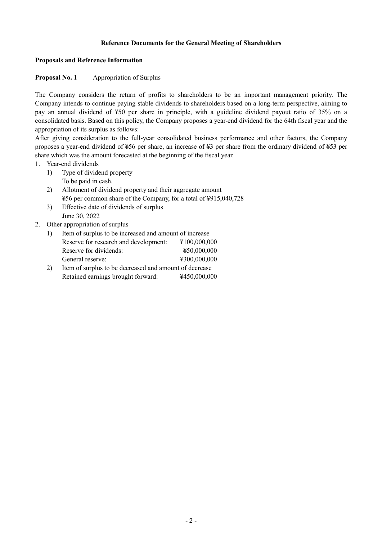### **Reference Documents for the General Meeting of Shareholders**

#### **Proposals and Reference Information**

#### **Proposal No. 1** Appropriation of Surplus

The Company considers the return of profits to shareholders to be an important management priority. The Company intends to continue paying stable dividends to shareholders based on a long-term perspective, aiming to pay an annual dividend of ¥50 per share in principle, with a guideline dividend payout ratio of 35% on a consolidated basis. Based on this policy, the Company proposes a year-end dividend for the 64th fiscal year and the appropriation of its surplus as follows:

After giving consideration to the full-year consolidated business performance and other factors, the Company proposes a year-end dividend of ¥56 per share, an increase of ¥3 per share from the ordinary dividend of ¥53 per share which was the amount forecasted at the beginning of the fiscal year.

- 1. Year-end dividends
	- 1) Type of dividend property To be paid in cash.
	- 2) Allotment of dividend property and their aggregate amount ¥56 per common share of the Company, for a total of ¥915,040,728
	- 3) Effective date of dividends of surplus June 30, 2022

#### 2. Other appropriation of surplus

|    | Item of surplus to be increased and amount of increase |              |  |  |  |  |
|----|--------------------------------------------------------|--------------|--|--|--|--|
|    | Reserve for research and development:                  | ¥100,000,000 |  |  |  |  |
|    | ¥50,000,000<br>Reserve for dividends:                  |              |  |  |  |  |
|    | General reserve:                                       | ¥300,000,000 |  |  |  |  |
| 2) | Item of surplus to be decreased and amount of decrease |              |  |  |  |  |
|    | Retained earnings brought forward:                     | ¥450,000,000 |  |  |  |  |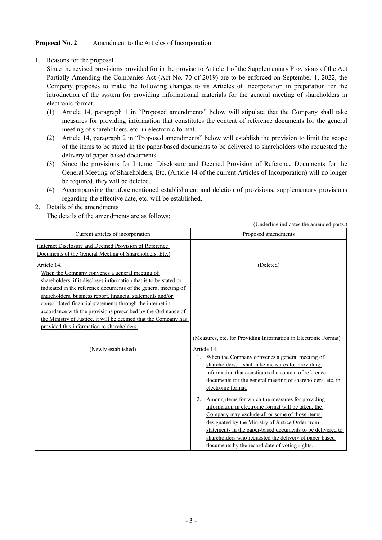# **Proposal No. 2** Amendment to the Articles of Incorporation

1. Reasons for the proposal

Since the revised provisions provided for in the proviso to Article 1 of the Supplementary Provisions of the Act Partially Amending the Companies Act (Act No. 70 of 2019) are to be enforced on September 1, 2022, the Company proposes to make the following changes to its Articles of Incorporation in preparation for the introduction of the system for providing informational materials for the general meeting of shareholders in electronic format.

- (1) Article 14, paragraph 1 in "Proposed amendments" below will stipulate that the Company shall take measures for providing information that constitutes the content of reference documents for the general meeting of shareholders, etc. in electronic format.
- (2) Article 14, paragraph 2 in "Proposed amendments" below will establish the provision to limit the scope of the items to be stated in the paper-based documents to be delivered to shareholders who requested the delivery of paper-based documents.
- (3) Since the provisions for Internet Disclosure and Deemed Provision of Reference Documents for the General Meeting of Shareholders, Etc. (Article 14 of the current Articles of Incorporation) will no longer be required, they will be deleted.
- (4) Accompanying the aforementioned establishment and deletion of provisions, supplementary provisions regarding the effective date, etc. will be established.

## 2. Details of the amendments

The details of the amendments are as follows:

|                                                                                                                                                                                                                                                                                                                                                                                                                                                                                                                   | (Underline indicates the amended parts.)                                                                                                                                                                                                                                                                                                                                                                                                                                                                                                                                                                                                           |
|-------------------------------------------------------------------------------------------------------------------------------------------------------------------------------------------------------------------------------------------------------------------------------------------------------------------------------------------------------------------------------------------------------------------------------------------------------------------------------------------------------------------|----------------------------------------------------------------------------------------------------------------------------------------------------------------------------------------------------------------------------------------------------------------------------------------------------------------------------------------------------------------------------------------------------------------------------------------------------------------------------------------------------------------------------------------------------------------------------------------------------------------------------------------------------|
| Current articles of incorporation                                                                                                                                                                                                                                                                                                                                                                                                                                                                                 | Proposed amendments                                                                                                                                                                                                                                                                                                                                                                                                                                                                                                                                                                                                                                |
| (Internet Disclosure and Deemed Provision of Reference<br>Documents of the General Meeting of Shareholders, Etc.)                                                                                                                                                                                                                                                                                                                                                                                                 |                                                                                                                                                                                                                                                                                                                                                                                                                                                                                                                                                                                                                                                    |
| Article 14.<br>When the Company convenes a general meeting of<br>shareholders, if it discloses information that is to be stated or<br>indicated in the reference documents of the general meeting of<br>shareholders, business report, financial statements and/or<br>consolidated financial statements through the internet in<br>accordance with the provisions prescribed by the Ordinance of<br>the Ministry of Justice, it will be deemed that the Company has<br>provided this information to shareholders. | (Deleted)                                                                                                                                                                                                                                                                                                                                                                                                                                                                                                                                                                                                                                          |
| (Newly established)                                                                                                                                                                                                                                                                                                                                                                                                                                                                                               | (Measures, etc. for Providing Information in Electronic Format)<br>Article 14.                                                                                                                                                                                                                                                                                                                                                                                                                                                                                                                                                                     |
|                                                                                                                                                                                                                                                                                                                                                                                                                                                                                                                   | 1. When the Company convenes a general meeting of<br>shareholders, it shall take measures for providing<br>information that constitutes the content of reference<br>documents for the general meeting of shareholders, etc. in<br>electronic format.<br>2. Among items for which the measures for providing<br>information in electronic format will be taken, the<br>Company may exclude all or some of those items<br>designated by the Ministry of Justice Order from<br>statements in the paper-based documents to be delivered to<br>shareholders who requested the delivery of paper-based<br>documents by the record date of voting rights. |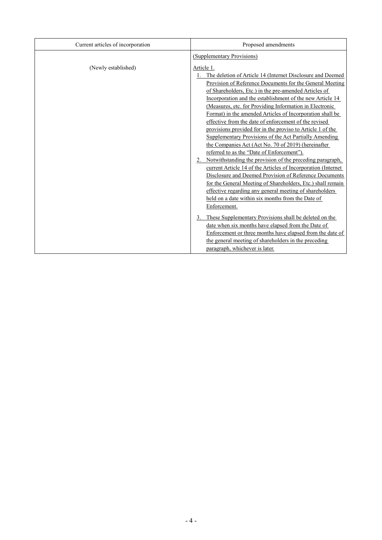| Current articles of incorporation | Proposed amendments                                                                                                                                                                                                                                                                                                                                                                                                                                                                                                                                                                                                                                                                                                                                                                                                                                                                                                                                                                                                                                             |
|-----------------------------------|-----------------------------------------------------------------------------------------------------------------------------------------------------------------------------------------------------------------------------------------------------------------------------------------------------------------------------------------------------------------------------------------------------------------------------------------------------------------------------------------------------------------------------------------------------------------------------------------------------------------------------------------------------------------------------------------------------------------------------------------------------------------------------------------------------------------------------------------------------------------------------------------------------------------------------------------------------------------------------------------------------------------------------------------------------------------|
|                                   | (Supplementary Provisions)                                                                                                                                                                                                                                                                                                                                                                                                                                                                                                                                                                                                                                                                                                                                                                                                                                                                                                                                                                                                                                      |
| (Newly established)               | Article 1.<br>The deletion of Article 14 (Internet Disclosure and Deemed<br>Provision of Reference Documents for the General Meeting<br>of Shareholders, Etc.) in the pre-amended Articles of<br>Incorporation and the establishment of the new Article 14<br>(Measures, etc. for Providing Information in Electronic<br>Format) in the amended Articles of Incorporation shall be<br>effective from the date of enforcement of the revised<br>provisions provided for in the proviso to Article 1 of the<br>Supplementary Provisions of the Act Partially Amending<br>the Companies Act (Act No. 70 of 2019) (hereinafter<br>referred to as the "Date of Enforcement").<br>Notwithstanding the provision of the preceding paragraph,<br>current Article 14 of the Articles of Incorporation (Internet<br>Disclosure and Deemed Provision of Reference Documents<br>for the General Meeting of Shareholders, Etc.) shall remain<br>effective regarding any general meeting of shareholders<br>held on a date within six months from the Date of<br>Enforcement. |
|                                   | 3. These Supplementary Provisions shall be deleted on the<br>date when six months have elapsed from the Date of<br>Enforcement or three months have elapsed from the date of<br>the general meeting of shareholders in the preceding<br>paragraph, whichever is later.                                                                                                                                                                                                                                                                                                                                                                                                                                                                                                                                                                                                                                                                                                                                                                                          |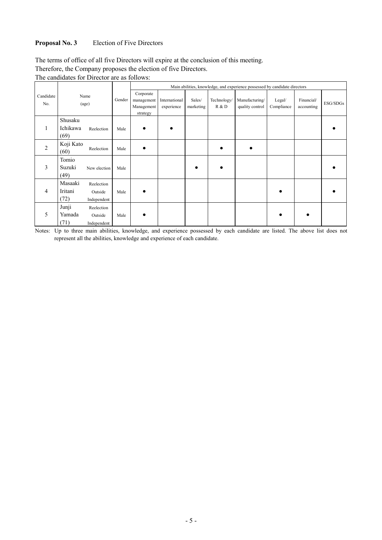# **Proposal No. 3** Election of Five Directors

The terms of office of all five Directors will expire at the conclusion of this meeting.

Therefore, the Company proposes the election of five Directors.

The candidates for Director are as follows:

|                  |                             |                                      |        | Main abilities, knowledge, and experience possessed by candidate directors |                             |                     |                      |                                   |                      |                          |          |
|------------------|-----------------------------|--------------------------------------|--------|----------------------------------------------------------------------------|-----------------------------|---------------------|----------------------|-----------------------------------|----------------------|--------------------------|----------|
| Candidate<br>No. |                             | Name<br>(age)                        | Gender | Corporate<br>management<br>Management<br>strategy                          | International<br>experience | Sales/<br>marketing | Technology/<br>R & D | Manufacturing/<br>quality control | Legal/<br>Compliance | Financial/<br>accounting | ESG/SDGs |
|                  | Shusaku<br>Ichikawa<br>(69) | Reelection                           | Male   | $\bullet$                                                                  |                             |                     |                      |                                   |                      |                          |          |
| $\overline{c}$   | Koji Kato<br>(60)           | Reelection                           | Male   |                                                                            |                             |                     |                      |                                   |                      |                          |          |
| 3                | Tomio<br>Suzuki<br>(49)     | New election                         | Male   |                                                                            |                             |                     |                      |                                   |                      |                          |          |
| 4                | Masaaki<br>Iritani<br>(72)  | Reelection<br>Outside<br>Independent | Male   |                                                                            |                             |                     |                      |                                   |                      |                          |          |
| 5                | Junji<br>Yamada<br>(71)     | Reelection<br>Outside<br>Independent | Male   |                                                                            |                             |                     |                      |                                   |                      |                          |          |

Notes: Up to three main abilities, knowledge, and experience possessed by each candidate are listed. The above list does not represent all the abilities, knowledge and experience of each candidate.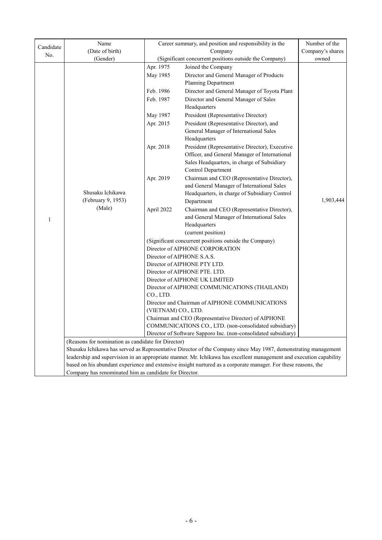|           | Name                                                                                                           | Career summary, and position and responsibility in the<br>Company                                                         |                                                                                                                     | Number of the    |  |  |
|-----------|----------------------------------------------------------------------------------------------------------------|---------------------------------------------------------------------------------------------------------------------------|---------------------------------------------------------------------------------------------------------------------|------------------|--|--|
| Candidate | (Date of birth)                                                                                                |                                                                                                                           |                                                                                                                     | Company's shares |  |  |
| No.       | (Gender)                                                                                                       |                                                                                                                           | (Significant concurrent positions outside the Company)                                                              |                  |  |  |
|           |                                                                                                                | Apr. 1975                                                                                                                 | Joined the Company                                                                                                  | owned            |  |  |
|           |                                                                                                                | May 1985                                                                                                                  | Director and General Manager of Products                                                                            |                  |  |  |
|           |                                                                                                                |                                                                                                                           | Planning Department                                                                                                 |                  |  |  |
|           |                                                                                                                | Feb. 1986                                                                                                                 | Director and General Manager of Toyota Plant                                                                        |                  |  |  |
|           |                                                                                                                | Feb. 1987                                                                                                                 | Director and General Manager of Sales                                                                               |                  |  |  |
|           |                                                                                                                |                                                                                                                           | Headquarters                                                                                                        |                  |  |  |
|           |                                                                                                                | May 1987                                                                                                                  | President (Representative Director)                                                                                 |                  |  |  |
|           |                                                                                                                | Apr. 2015                                                                                                                 | President (Representative Director), and                                                                            |                  |  |  |
|           |                                                                                                                |                                                                                                                           | General Manager of International Sales                                                                              |                  |  |  |
|           |                                                                                                                |                                                                                                                           | Headquarters                                                                                                        |                  |  |  |
|           |                                                                                                                | Apr. 2018                                                                                                                 | President (Representative Director), Executive                                                                      |                  |  |  |
|           |                                                                                                                |                                                                                                                           | Officer, and General Manager of International                                                                       |                  |  |  |
|           |                                                                                                                |                                                                                                                           | Sales Headquarters, in charge of Subsidiary                                                                         |                  |  |  |
|           |                                                                                                                |                                                                                                                           | Control Department                                                                                                  |                  |  |  |
|           |                                                                                                                | Apr. 2019                                                                                                                 | Chairman and CEO (Representative Director),                                                                         |                  |  |  |
|           |                                                                                                                |                                                                                                                           | and General Manager of International Sales                                                                          |                  |  |  |
|           | Shusaku Ichikawa                                                                                               |                                                                                                                           | Headquarters, in charge of Subsidiary Control                                                                       | 1,903,444        |  |  |
|           | (February 9, 1953)                                                                                             |                                                                                                                           | Department                                                                                                          |                  |  |  |
|           | (Male)                                                                                                         | April 2022                                                                                                                | Chairman and CEO (Representative Director),                                                                         |                  |  |  |
| 1         |                                                                                                                |                                                                                                                           | and General Manager of International Sales                                                                          |                  |  |  |
|           |                                                                                                                |                                                                                                                           | Headquarters                                                                                                        |                  |  |  |
|           |                                                                                                                |                                                                                                                           | (current position)                                                                                                  |                  |  |  |
|           |                                                                                                                |                                                                                                                           | (Significant concurrent positions outside the Company)                                                              |                  |  |  |
|           |                                                                                                                | Director of AIPHONE CORPORATION                                                                                           |                                                                                                                     |                  |  |  |
|           |                                                                                                                | Director of AIPHONE S.A.S.                                                                                                |                                                                                                                     |                  |  |  |
|           |                                                                                                                | Director of AIPHONE PTY LTD.                                                                                              |                                                                                                                     |                  |  |  |
|           |                                                                                                                | Director of AIPHONE PTE. LTD.                                                                                             |                                                                                                                     |                  |  |  |
|           |                                                                                                                | Director of AIPHONE UK LIMITED                                                                                            |                                                                                                                     |                  |  |  |
|           |                                                                                                                | Director of AIPHONE COMMUNICATIONS (THAILAND)                                                                             |                                                                                                                     |                  |  |  |
|           |                                                                                                                | CO., LTD.                                                                                                                 |                                                                                                                     |                  |  |  |
|           |                                                                                                                | (VIETNAM) CO., LTD.                                                                                                       | Director and Chairman of AIPHONE COMMUNICATIONS                                                                     |                  |  |  |
|           |                                                                                                                |                                                                                                                           |                                                                                                                     |                  |  |  |
|           |                                                                                                                |                                                                                                                           | Chairman and CEO (Representative Director) of AIPHONE                                                               |                  |  |  |
|           |                                                                                                                | COMMUNICATIONS CO., LTD. (non-consolidated subsidiary)<br>Director of Software Sapporo Inc. (non-consolidated subsidiary) |                                                                                                                     |                  |  |  |
|           | (Reasons for nomination as candidate for Director)                                                             |                                                                                                                           |                                                                                                                     |                  |  |  |
|           | Shusaku Ichikawa has served as Representative Director of the Company since May 1987, demonstrating management |                                                                                                                           |                                                                                                                     |                  |  |  |
|           |                                                                                                                |                                                                                                                           | leadership and supervision in an appropriate manner. Mr. Ichikawa has excellent management and execution capability |                  |  |  |
|           |                                                                                                                |                                                                                                                           | based on his abundant experience and extensive insight nurtured as a corporate manager. For these reasons, the      |                  |  |  |
|           | Company has renominated him as candidate for Director.                                                         |                                                                                                                           |                                                                                                                     |                  |  |  |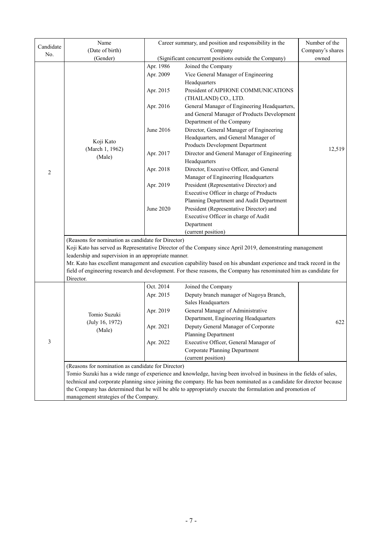| Candidate      | Name                                                                                                                                                              | Career summary, and position and responsibility in the | Number of the                                                                                                       |        |  |  |  |  |
|----------------|-------------------------------------------------------------------------------------------------------------------------------------------------------------------|--------------------------------------------------------|---------------------------------------------------------------------------------------------------------------------|--------|--|--|--|--|
|                | (Date of birth)                                                                                                                                                   |                                                        | Company's shares                                                                                                    |        |  |  |  |  |
| No.            | (Gender)                                                                                                                                                          | (Significant concurrent positions outside the Company) | owned                                                                                                               |        |  |  |  |  |
|                |                                                                                                                                                                   | Apr. 1986                                              | Joined the Company                                                                                                  |        |  |  |  |  |
|                |                                                                                                                                                                   | Apr. 2009                                              | Vice General Manager of Engineering                                                                                 |        |  |  |  |  |
|                |                                                                                                                                                                   |                                                        | Headquarters                                                                                                        |        |  |  |  |  |
|                |                                                                                                                                                                   | Apr. 2015                                              | President of AIPHONE COMMUNICATIONS                                                                                 |        |  |  |  |  |
|                |                                                                                                                                                                   |                                                        | (THAILAND) CO., LTD.                                                                                                |        |  |  |  |  |
|                |                                                                                                                                                                   | Apr. 2016                                              | General Manager of Engineering Headquarters,                                                                        |        |  |  |  |  |
|                |                                                                                                                                                                   |                                                        | and General Manager of Products Development                                                                         |        |  |  |  |  |
|                |                                                                                                                                                                   |                                                        | Department of the Company                                                                                           |        |  |  |  |  |
|                |                                                                                                                                                                   | June 2016                                              | Director, General Manager of Engineering                                                                            |        |  |  |  |  |
|                |                                                                                                                                                                   |                                                        | Headquarters, and General Manager of                                                                                |        |  |  |  |  |
|                | Koji Kato                                                                                                                                                         |                                                        | Products Development Department                                                                                     |        |  |  |  |  |
|                | (March 1, 1962)                                                                                                                                                   | Apr. 2017                                              | Director and General Manager of Engineering                                                                         | 12,519 |  |  |  |  |
|                | (Male)                                                                                                                                                            |                                                        | Headquarters                                                                                                        |        |  |  |  |  |
|                |                                                                                                                                                                   | Apr. 2018                                              | Director, Executive Officer, and General                                                                            |        |  |  |  |  |
| $\overline{c}$ |                                                                                                                                                                   |                                                        | Manager of Engineering Headquarters                                                                                 |        |  |  |  |  |
|                |                                                                                                                                                                   | Apr. 2019                                              | President (Representative Director) and                                                                             |        |  |  |  |  |
|                |                                                                                                                                                                   |                                                        | Executive Officer in charge of Products                                                                             |        |  |  |  |  |
|                |                                                                                                                                                                   |                                                        | Planning Department and Audit Department                                                                            |        |  |  |  |  |
|                |                                                                                                                                                                   | June 2020                                              | President (Representative Director) and                                                                             |        |  |  |  |  |
|                |                                                                                                                                                                   |                                                        | Executive Officer in charge of Audit                                                                                |        |  |  |  |  |
|                |                                                                                                                                                                   |                                                        | Department                                                                                                          |        |  |  |  |  |
|                |                                                                                                                                                                   |                                                        | (current position)                                                                                                  |        |  |  |  |  |
|                | (Reasons for nomination as candidate for Director)                                                                                                                |                                                        |                                                                                                                     |        |  |  |  |  |
|                |                                                                                                                                                                   |                                                        |                                                                                                                     |        |  |  |  |  |
|                | Koji Kato has served as Representative Director of the Company since April 2019, demonstrating management<br>leadership and supervision in an appropriate manner. |                                                        |                                                                                                                     |        |  |  |  |  |
|                |                                                                                                                                                                   |                                                        | Mr. Kato has excellent management and execution capability based on his abundant experience and track record in the |        |  |  |  |  |
|                | field of engineering research and development. For these reasons, the Company has renominated him as candidate for                                                |                                                        |                                                                                                                     |        |  |  |  |  |
|                | Director.                                                                                                                                                         |                                                        |                                                                                                                     |        |  |  |  |  |
|                |                                                                                                                                                                   | Oct. 2014                                              | Joined the Company                                                                                                  |        |  |  |  |  |
|                | Tomio Suzuki                                                                                                                                                      | Apr. 2015                                              | Deputy branch manager of Nagoya Branch,                                                                             |        |  |  |  |  |
|                |                                                                                                                                                                   |                                                        | Sales Headquarters                                                                                                  |        |  |  |  |  |
|                |                                                                                                                                                                   | Apr. 2019                                              | General Manager of Administrative                                                                                   |        |  |  |  |  |
|                | (July 16, 1972)                                                                                                                                                   |                                                        | Department, Engineering Headquarters                                                                                | 622    |  |  |  |  |
| 3              | (Male)                                                                                                                                                            | Apr. 2021                                              | Deputy General Manager of Corporate                                                                                 |        |  |  |  |  |
|                |                                                                                                                                                                   |                                                        | Planning Department                                                                                                 |        |  |  |  |  |
|                |                                                                                                                                                                   | Apr. 2022                                              | Executive Officer, General Manager of                                                                               |        |  |  |  |  |
|                |                                                                                                                                                                   |                                                        | Corporate Planning Department                                                                                       |        |  |  |  |  |
|                |                                                                                                                                                                   |                                                        | (current position)                                                                                                  |        |  |  |  |  |
|                | (Reasons for nomination as candidate for Director)                                                                                                                |                                                        |                                                                                                                     |        |  |  |  |  |
|                | Tomio Suzuki has a wide range of experience and knowledge, having been involved in business in the fields of sales,                                               |                                                        |                                                                                                                     |        |  |  |  |  |
|                | technical and corporate planning since joining the company. He has been nominated as a candidate for director because                                             |                                                        |                                                                                                                     |        |  |  |  |  |
|                | the Company has determined that he will be able to appropriately execute the formulation and promotion of                                                         |                                                        |                                                                                                                     |        |  |  |  |  |
|                | management strategies of the Company.                                                                                                                             |                                                        |                                                                                                                     |        |  |  |  |  |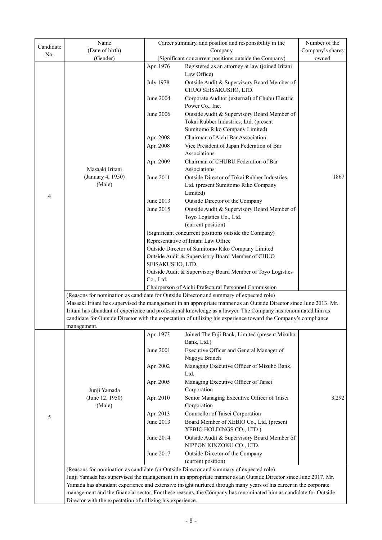|                  | Name                                                                                                                                                                                                                               | Career summary, and position and responsibility in the<br>Company |                                                                                                                                                                                                                                  | Number of the    |  |  |  |
|------------------|------------------------------------------------------------------------------------------------------------------------------------------------------------------------------------------------------------------------------------|-------------------------------------------------------------------|----------------------------------------------------------------------------------------------------------------------------------------------------------------------------------------------------------------------------------|------------------|--|--|--|
| Candidate<br>No. | (Date of birth)                                                                                                                                                                                                                    |                                                                   |                                                                                                                                                                                                                                  | Company's shares |  |  |  |
|                  | (Gender)                                                                                                                                                                                                                           |                                                                   | (Significant concurrent positions outside the Company)                                                                                                                                                                           | owned            |  |  |  |
|                  |                                                                                                                                                                                                                                    | Apr. 1976                                                         | Registered as an attorney at law (joined Iritani                                                                                                                                                                                 |                  |  |  |  |
|                  |                                                                                                                                                                                                                                    |                                                                   | Law Office)                                                                                                                                                                                                                      |                  |  |  |  |
|                  |                                                                                                                                                                                                                                    | July 1978                                                         | Outside Audit & Supervisory Board Member of<br>CHUO SEISAKUSHO, LTD.                                                                                                                                                             |                  |  |  |  |
|                  |                                                                                                                                                                                                                                    | June 2004                                                         | Corporate Auditor (external) of Chubu Electric<br>Power Co., Inc.                                                                                                                                                                |                  |  |  |  |
|                  |                                                                                                                                                                                                                                    | June 2006                                                         | Outside Audit & Supervisory Board Member of                                                                                                                                                                                      |                  |  |  |  |
|                  |                                                                                                                                                                                                                                    |                                                                   | Tokai Rubber Industries, Ltd. (present                                                                                                                                                                                           |                  |  |  |  |
|                  |                                                                                                                                                                                                                                    |                                                                   | Sumitomo Riko Company Limited)                                                                                                                                                                                                   |                  |  |  |  |
|                  |                                                                                                                                                                                                                                    | Apr. 2008                                                         | Chairman of Aichi Bar Association                                                                                                                                                                                                |                  |  |  |  |
|                  |                                                                                                                                                                                                                                    | Apr. 2008                                                         | Vice President of Japan Federation of Bar                                                                                                                                                                                        |                  |  |  |  |
|                  |                                                                                                                                                                                                                                    |                                                                   | Associations                                                                                                                                                                                                                     |                  |  |  |  |
|                  |                                                                                                                                                                                                                                    | Apr. 2009                                                         | Chairman of CHUBU Federation of Bar                                                                                                                                                                                              |                  |  |  |  |
|                  | Masaaki Iritani                                                                                                                                                                                                                    |                                                                   | Associations                                                                                                                                                                                                                     |                  |  |  |  |
|                  | (January 4, 1950)                                                                                                                                                                                                                  | June 2011                                                         | Outside Director of Tokai Rubber Industries,                                                                                                                                                                                     | 1867             |  |  |  |
|                  | (Male)                                                                                                                                                                                                                             |                                                                   | Ltd. (present Sumitomo Riko Company<br>Limited)                                                                                                                                                                                  |                  |  |  |  |
| 4                |                                                                                                                                                                                                                                    | June 2013                                                         | Outside Director of the Company                                                                                                                                                                                                  |                  |  |  |  |
|                  |                                                                                                                                                                                                                                    | June 2015                                                         | Outside Audit & Supervisory Board Member of                                                                                                                                                                                      |                  |  |  |  |
|                  |                                                                                                                                                                                                                                    |                                                                   | Toyo Logistics Co., Ltd.                                                                                                                                                                                                         |                  |  |  |  |
|                  |                                                                                                                                                                                                                                    |                                                                   | (current position)                                                                                                                                                                                                               |                  |  |  |  |
|                  |                                                                                                                                                                                                                                    |                                                                   | (Significant concurrent positions outside the Company)                                                                                                                                                                           |                  |  |  |  |
|                  |                                                                                                                                                                                                                                    |                                                                   | Representative of Iritani Law Office                                                                                                                                                                                             |                  |  |  |  |
|                  |                                                                                                                                                                                                                                    |                                                                   | Outside Director of Sumitomo Riko Company Limited                                                                                                                                                                                |                  |  |  |  |
|                  |                                                                                                                                                                                                                                    |                                                                   | Outside Audit & Supervisory Board Member of CHUO<br>SEISAKUSHO, LTD.                                                                                                                                                             |                  |  |  |  |
|                  |                                                                                                                                                                                                                                    | Outside Audit & Supervisory Board Member of Toyo Logistics        |                                                                                                                                                                                                                                  |                  |  |  |  |
|                  |                                                                                                                                                                                                                                    | Co., Ltd.                                                         |                                                                                                                                                                                                                                  |                  |  |  |  |
|                  |                                                                                                                                                                                                                                    |                                                                   | Chairperson of Aichi Prefectural Personnel Commission                                                                                                                                                                            |                  |  |  |  |
|                  |                                                                                                                                                                                                                                    |                                                                   | (Reasons for nomination as candidate for Outside Director and summary of expected role)                                                                                                                                          |                  |  |  |  |
|                  |                                                                                                                                                                                                                                    |                                                                   | Masaaki Iritani has supervised the management in an appropriate manner as an Outside Director since June 2013. Mr.                                                                                                               |                  |  |  |  |
|                  |                                                                                                                                                                                                                                    |                                                                   | Iritani has abundant of experience and professional knowledge as a lawyer. The Company has renominated him as<br>candidate for Outside Director with the expectation of utilizing his experience toward the Company's compliance |                  |  |  |  |
|                  | management.                                                                                                                                                                                                                        |                                                                   |                                                                                                                                                                                                                                  |                  |  |  |  |
|                  |                                                                                                                                                                                                                                    | Apr. 1973                                                         | Joined The Fuji Bank, Limited (present Mizuho<br>Bank, Ltd.)                                                                                                                                                                     |                  |  |  |  |
|                  |                                                                                                                                                                                                                                    | June 2001                                                         | Executive Officer and General Manager of                                                                                                                                                                                         |                  |  |  |  |
|                  |                                                                                                                                                                                                                                    |                                                                   | Nagoya Branch                                                                                                                                                                                                                    |                  |  |  |  |
|                  |                                                                                                                                                                                                                                    | Apr. 2002                                                         | Managing Executive Officer of Mizuho Bank,                                                                                                                                                                                       |                  |  |  |  |
|                  |                                                                                                                                                                                                                                    |                                                                   | Ltd.                                                                                                                                                                                                                             |                  |  |  |  |
|                  |                                                                                                                                                                                                                                    | Apr. 2005                                                         | Managing Executive Officer of Taisei                                                                                                                                                                                             |                  |  |  |  |
|                  | Junji Yamada                                                                                                                                                                                                                       |                                                                   | Corporation                                                                                                                                                                                                                      |                  |  |  |  |
|                  | (June 12, 1950)<br>(Male)                                                                                                                                                                                                          | Apr. 2010                                                         | Senior Managing Executive Officer of Taisei<br>Corporation                                                                                                                                                                       | 3,292            |  |  |  |
| 5                |                                                                                                                                                                                                                                    | Apr. 2013                                                         | Counsellor of Taisei Corporation                                                                                                                                                                                                 |                  |  |  |  |
|                  |                                                                                                                                                                                                                                    | June 2013                                                         | Board Member of XEBIO Co., Ltd. (present                                                                                                                                                                                         |                  |  |  |  |
|                  |                                                                                                                                                                                                                                    |                                                                   | XEBIO HOLDINGS CO., LTD.)                                                                                                                                                                                                        |                  |  |  |  |
|                  |                                                                                                                                                                                                                                    | June 2014                                                         | Outside Audit & Supervisory Board Member of<br>NIPPON KINZOKU CO., LTD.                                                                                                                                                          |                  |  |  |  |
|                  |                                                                                                                                                                                                                                    | June 2017                                                         | Outside Director of the Company                                                                                                                                                                                                  |                  |  |  |  |
|                  |                                                                                                                                                                                                                                    |                                                                   | (current position)                                                                                                                                                                                                               |                  |  |  |  |
|                  |                                                                                                                                                                                                                                    |                                                                   | (Reasons for nomination as candidate for Outside Director and summary of expected role)                                                                                                                                          |                  |  |  |  |
|                  | Junji Yamada has supervised the management in an appropriate manner as an Outside Director since June 2017. Mr.<br>Yamada has abundant experience and extensive insight nurtured through many years of his career in the corporate |                                                                   |                                                                                                                                                                                                                                  |                  |  |  |  |
|                  |                                                                                                                                                                                                                                    |                                                                   | management and the financial sector. For these reasons, the Company has renominated him as candidate for Outside                                                                                                                 |                  |  |  |  |
|                  | Director with the expectation of utilizing his experience.                                                                                                                                                                         |                                                                   |                                                                                                                                                                                                                                  |                  |  |  |  |